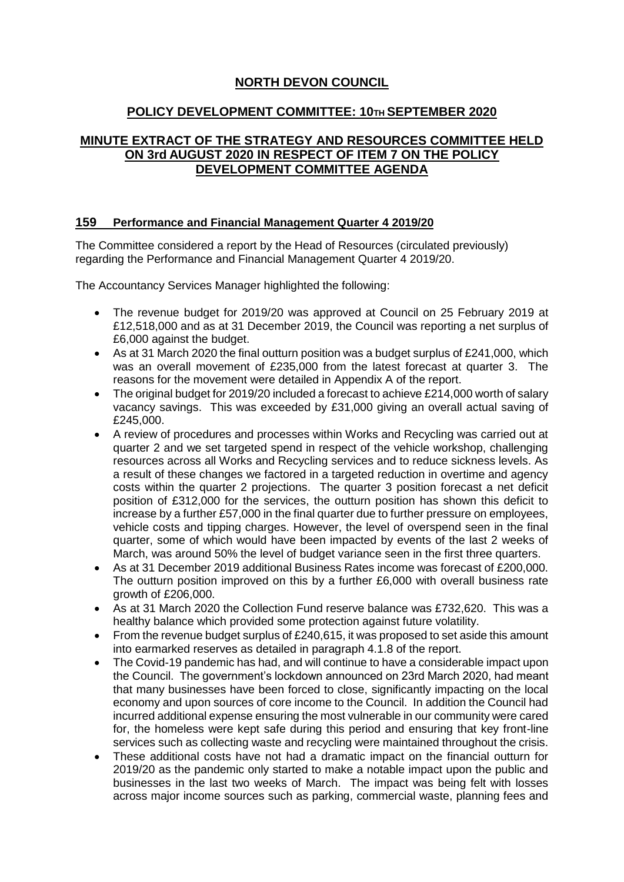## **NORTH DEVON COUNCIL**

## **POLICY DEVELOPMENT COMMITTEE: 10TH SEPTEMBER 2020**

## **MINUTE EXTRACT OF THE STRATEGY AND RESOURCES COMMITTEE HELD ON 3rd AUGUST 2020 IN RESPECT OF ITEM 7 ON THE POLICY DEVELOPMENT COMMITTEE AGENDA**

## **159 Performance and Financial Management Quarter 4 2019/20**

The Committee considered a report by the Head of Resources (circulated previously) regarding the Performance and Financial Management Quarter 4 2019/20.

The Accountancy Services Manager highlighted the following:

- The revenue budget for 2019/20 was approved at Council on 25 February 2019 at £12,518,000 and as at 31 December 2019, the Council was reporting a net surplus of £6,000 against the budget.
- As at 31 March 2020 the final outturn position was a budget surplus of  $£241,000$ , which was an overall movement of £235,000 from the latest forecast at quarter 3. The reasons for the movement were detailed in Appendix A of the report.
- The original budget for 2019/20 included a forecast to achieve £214,000 worth of salary vacancy savings. This was exceeded by £31,000 giving an overall actual saving of £245,000.
- A review of procedures and processes within Works and Recycling was carried out at quarter 2 and we set targeted spend in respect of the vehicle workshop, challenging resources across all Works and Recycling services and to reduce sickness levels. As a result of these changes we factored in a targeted reduction in overtime and agency costs within the quarter 2 projections. The quarter 3 position forecast a net deficit position of £312,000 for the services, the outturn position has shown this deficit to increase by a further £57,000 in the final quarter due to further pressure on employees, vehicle costs and tipping charges. However, the level of overspend seen in the final quarter, some of which would have been impacted by events of the last 2 weeks of March, was around 50% the level of budget variance seen in the first three quarters.
- As at 31 December 2019 additional Business Rates income was forecast of £200,000. The outturn position improved on this by a further £6,000 with overall business rate growth of £206,000.
- As at 31 March 2020 the Collection Fund reserve balance was £732,620. This was a healthy balance which provided some protection against future volatility.
- From the revenue budget surplus of £240,615, it was proposed to set aside this amount into earmarked reserves as detailed in paragraph 4.1.8 of the report.
- The Covid-19 pandemic has had, and will continue to have a considerable impact upon the Council. The government's lockdown announced on 23rd March 2020, had meant that many businesses have been forced to close, significantly impacting on the local economy and upon sources of core income to the Council. In addition the Council had incurred additional expense ensuring the most vulnerable in our community were cared for, the homeless were kept safe during this period and ensuring that key front-line services such as collecting waste and recycling were maintained throughout the crisis.
- These additional costs have not had a dramatic impact on the financial outturn for 2019/20 as the pandemic only started to make a notable impact upon the public and businesses in the last two weeks of March. The impact was being felt with losses across major income sources such as parking, commercial waste, planning fees and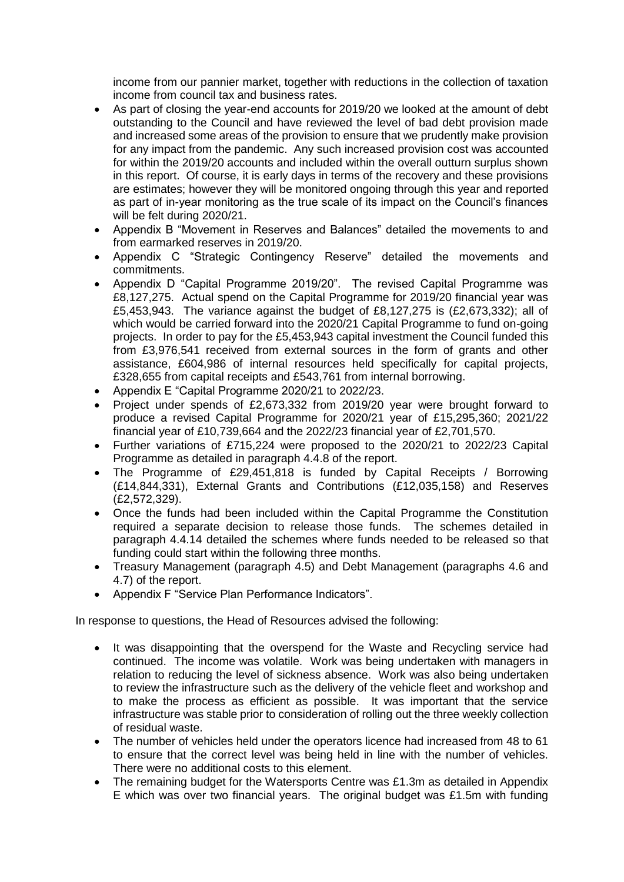income from our pannier market, together with reductions in the collection of taxation income from council tax and business rates.

- As part of closing the year-end accounts for 2019/20 we looked at the amount of debt outstanding to the Council and have reviewed the level of bad debt provision made and increased some areas of the provision to ensure that we prudently make provision for any impact from the pandemic. Any such increased provision cost was accounted for within the 2019/20 accounts and included within the overall outturn surplus shown in this report. Of course, it is early days in terms of the recovery and these provisions are estimates; however they will be monitored ongoing through this year and reported as part of in-year monitoring as the true scale of its impact on the Council's finances will be felt during 2020/21.
- Appendix B "Movement in Reserves and Balances" detailed the movements to and from earmarked reserves in 2019/20.
- Appendix C "Strategic Contingency Reserve" detailed the movements and commitments.
- Appendix D "Capital Programme 2019/20". The revised Capital Programme was £8,127,275. Actual spend on the Capital Programme for 2019/20 financial year was £5,453,943. The variance against the budget of £8,127,275 is (£2,673,332); all of which would be carried forward into the 2020/21 Capital Programme to fund on-going projects. In order to pay for the £5,453,943 capital investment the Council funded this from £3,976,541 received from external sources in the form of grants and other assistance, £604,986 of internal resources held specifically for capital projects, £328,655 from capital receipts and £543,761 from internal borrowing.
- Appendix E "Capital Programme 2020/21 to 2022/23.
- Project under spends of £2,673,332 from 2019/20 year were brought forward to produce a revised Capital Programme for 2020/21 year of £15,295,360; 2021/22 financial year of £10,739,664 and the 2022/23 financial year of £2,701,570.
- Further variations of £715,224 were proposed to the 2020/21 to 2022/23 Capital Programme as detailed in paragraph 4.4.8 of the report.
- The Programme of £29,451,818 is funded by Capital Receipts / Borrowing (£14,844,331), External Grants and Contributions (£12,035,158) and Reserves (£2,572,329).
- Once the funds had been included within the Capital Programme the Constitution required a separate decision to release those funds. The schemes detailed in paragraph 4.4.14 detailed the schemes where funds needed to be released so that funding could start within the following three months.
- Treasury Management (paragraph 4.5) and Debt Management (paragraphs 4.6 and 4.7) of the report.
- Appendix F "Service Plan Performance Indicators".

In response to questions, the Head of Resources advised the following:

- It was disappointing that the overspend for the Waste and Recycling service had continued. The income was volatile. Work was being undertaken with managers in relation to reducing the level of sickness absence. Work was also being undertaken to review the infrastructure such as the delivery of the vehicle fleet and workshop and to make the process as efficient as possible. It was important that the service infrastructure was stable prior to consideration of rolling out the three weekly collection of residual waste.
- The number of vehicles held under the operators licence had increased from 48 to 61 to ensure that the correct level was being held in line with the number of vehicles. There were no additional costs to this element.
- The remaining budget for the Watersports Centre was £1.3m as detailed in Appendix E which was over two financial years. The original budget was £1.5m with funding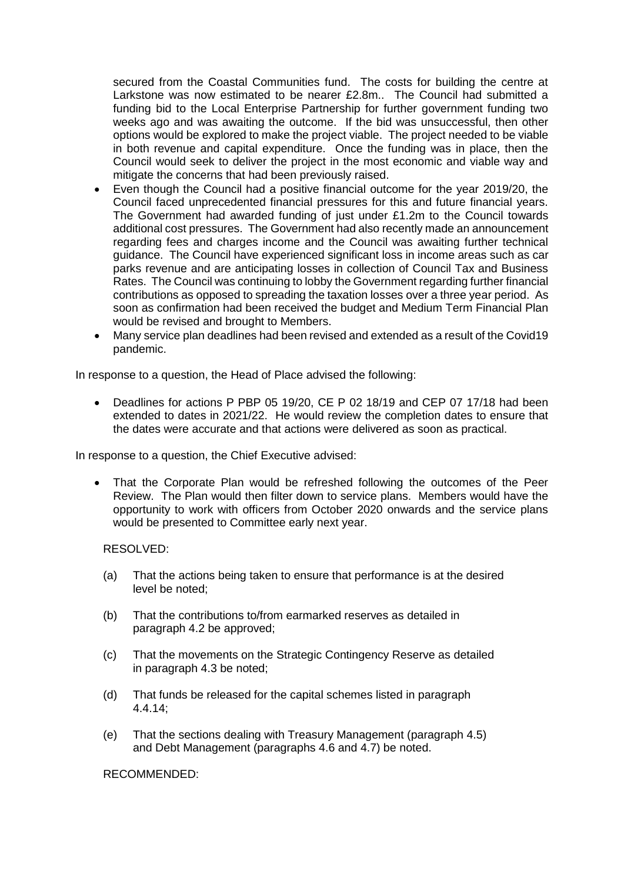secured from the Coastal Communities fund. The costs for building the centre at Larkstone was now estimated to be nearer £2.8m.. The Council had submitted a funding bid to the Local Enterprise Partnership for further government funding two weeks ago and was awaiting the outcome. If the bid was unsuccessful, then other options would be explored to make the project viable. The project needed to be viable in both revenue and capital expenditure. Once the funding was in place, then the Council would seek to deliver the project in the most economic and viable way and mitigate the concerns that had been previously raised.

- Even though the Council had a positive financial outcome for the year 2019/20, the Council faced unprecedented financial pressures for this and future financial years. The Government had awarded funding of just under £1.2m to the Council towards additional cost pressures. The Government had also recently made an announcement regarding fees and charges income and the Council was awaiting further technical guidance. The Council have experienced significant loss in income areas such as car parks revenue and are anticipating losses in collection of Council Tax and Business Rates. The Council was continuing to lobby the Government regarding further financial contributions as opposed to spreading the taxation losses over a three year period. As soon as confirmation had been received the budget and Medium Term Financial Plan would be revised and brought to Members.
- Many service plan deadlines had been revised and extended as a result of the Covid19 pandemic.

In response to a question, the Head of Place advised the following:

 Deadlines for actions P PBP 05 19/20, CE P 02 18/19 and CEP 07 17/18 had been extended to dates in 2021/22. He would review the completion dates to ensure that the dates were accurate and that actions were delivered as soon as practical.

In response to a question, the Chief Executive advised:

 That the Corporate Plan would be refreshed following the outcomes of the Peer Review. The Plan would then filter down to service plans. Members would have the opportunity to work with officers from October 2020 onwards and the service plans would be presented to Committee early next year.

RESOLVED:

- (a) That the actions being taken to ensure that performance is at the desired level be noted;
- (b) That the contributions to/from earmarked reserves as detailed in paragraph 4.2 be approved;
- (c) That the movements on the Strategic Contingency Reserve as detailed in paragraph 4.3 be noted;
- (d) That funds be released for the capital schemes listed in paragraph 4.4.14;
- (e) That the sections dealing with Treasury Management (paragraph 4.5) and Debt Management (paragraphs 4.6 and 4.7) be noted.

RECOMMENDED: